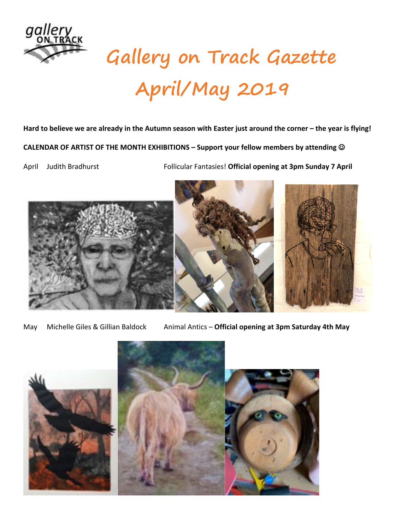

## **Gallery on Track Gazette April/May 2019**

## **Hard to believe we are already in the Autumn season with Easter just around the corner – the year is flying!**

**CALENDAR OF ARTIST OF THE MONTH EXHIBITIONS – Support your fellow members by attending**  $\odot$ 

April Judith Bradhurst Follicular Fantasies! **Official opening at 3pm Sunday 7 April**



May Michelle Giles & Gillian Baldock Animal Antics - Official opening at 3pm Saturday 4th May